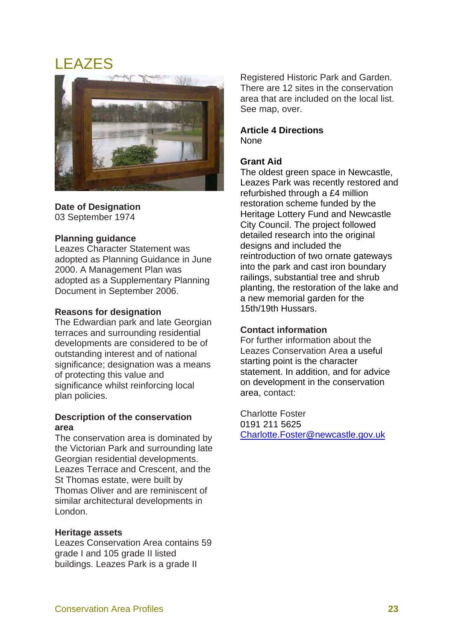# LEAZES



**Date of Designation** 

03 September 1974

## **Planning guidance**

Leazes Character Statement was adopted as Planning Guidance in June 2000. A Management Plan was adopted as a Supplementary Planning Document in September 2006.

#### **Reasons for designation**

The Edwardian park and late Georgian terraces and surrounding residential developments are considered to be of outstanding interest and of national significance; designation was a means of protecting this value and significance whilst reinforcing local plan policies.

## **Description of the conservation area**

The conservation area is dominated by the Victorian Park and surrounding late Georgian residential developments. Leazes Terrace and Crescent, and the St Thomas estate, were built by Thomas Oliver and are reminiscent of similar architectural developments in London.

#### **Heritage assets**

Leazes Conservation Area contains 59 grade I and 105 grade II listed buildings. Leazes Park is a grade II

Registered Historic Park and Garden. There are 12 sites in the conservation area that are included on the local list. See map, over.

#### **Article 4 Directions**  None

# **Grant Aid**

The oldest green space in Newcastle, Leazes Park was recently restored and refurbished through a £4 million restoration scheme funded by the Heritage Lottery Fund and Newcastle City Council. The project followed detailed research into the original designs and included the reintroduction of two ornate gateways into the park and cast iron boundary railings, substantial tree and shrub planting, the restoration of the lake and a new memorial garden for the 15th/19th Hussars.

# **Contact information**

For further information about the Leazes Conservation Area a useful starting point is the character statement. In addition, and for advice on development in the conservation area, contact:

Charlotte Foster 0191 211 5625 Charlotte.Foster@newcastle.gov.uk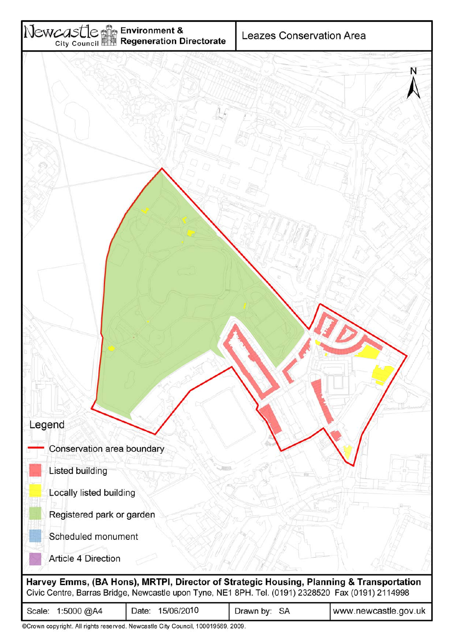

| ©Crown copyright. All rights reserved. Newcastle City Council, 100019569, 2009. |  |  |
|---------------------------------------------------------------------------------|--|--|